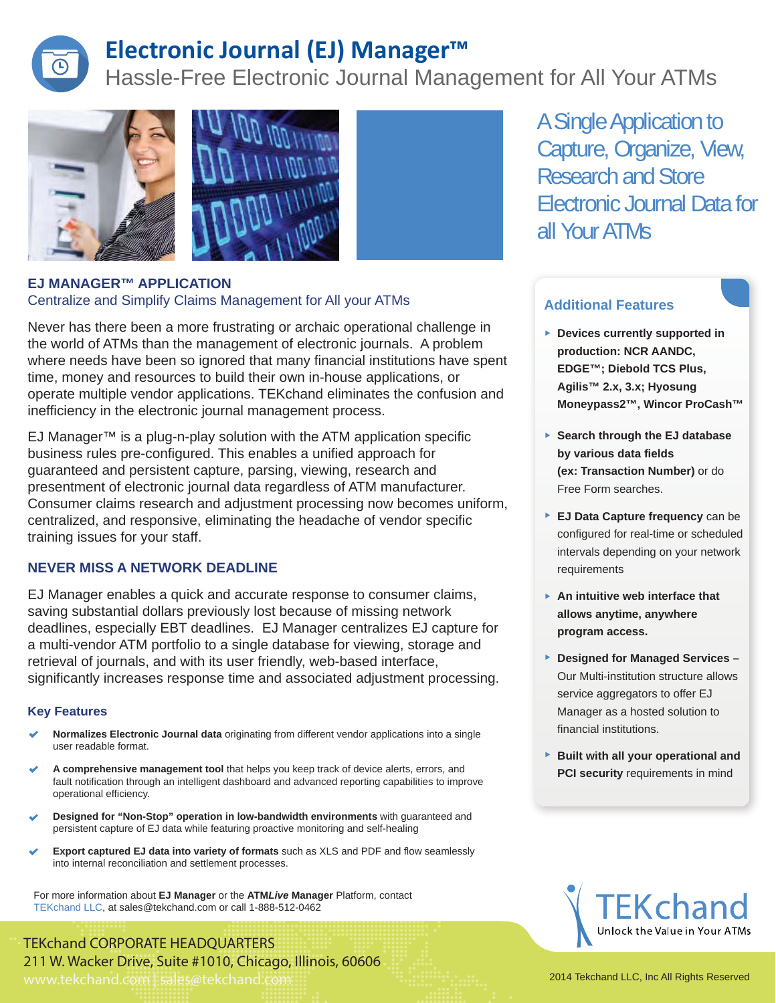

## **Electronic Journal (EJ) Manager™**

Hassle-Free Electronic Journal Management for All Your ATMs





Never has there been a more frustrating or archaic operational challenge in the world of ATMs than the management of electronic journals. A problem where needs have been so ignored that many financial institutions have spent time, money and resources to build their own in-house applications, or operate multiple vendor applications. TEKchand eliminates the confusion and inefficiency in the electronic journal management process.

EJ Manager™ is a plug-n-play solution with the ATM application specific business rules pre-configured. This enables a unified approach for guaranteed and persistent capture, parsing, viewing, research and presentment of electronic journal data regardless of ATM manufacturer. Consumer claims research and adjustment processing now becomes uniform, centralized, and responsive, eliminating the headache of vendor specific training issues for your staff.

#### **NEVER MISS A NETWORK DEADLINE**

EJ Manager enables a quick and accurate response to consumer claims, saving substantial dollars previously lost because of missing network deadlines, especially EBT deadlines. EJ Manager centralizes EJ capture for a multi-vendor ATM portfolio to a single database for viewing, storage and retrieval of journals, and with its user friendly, web-based interface, significantly increases response time and associated adjustment processing.

#### **Key Features**

- **Normalizes Electronic Journal data** originating from different vendor applications into a single user readable format.
- **A comprehensive management tool** that helps you keep track of device alerts, errors, and fault notification through an intelligent dashboard and advanced reporting capabilities to improve operational efficiency.
- **Designed for "Non-Stop" operation in low-bandwidth environments** with guaranteed and persistent capture of EJ data while featuring proactive monitoring and self-healing
- **Export captured EJ data into variety of formats** such as XLS and PDF and flow seamlessly into internal reconciliation and settlement processes.

For more information about **EJ Manager** or the **ATM***Live* **Manager** Platform, contact TEKchand LLC, at sales@tekchand.com or call 1-888-512-0462

TEKchand CORPORATE HEADQUARTERS 211 W. Wacker Drive, Suite #1010, Chicago, Illinois, 60606 www.tekchand.com | sales@tekchand.com 2014 Tekchand LLC, Inc All Rights Reserved

A Single Application to Capture, Organize, View, Research and Store Electronic Journal Data for all Your ATMs

### **Additional Features**

- **Devices currently supported in production: NCR AANDC, EDGE™; Diebold TCS Plus, Agilis™ 2.x, 3.x; Hyosung Moneypass2™, Wincor ProCash™**
- **Search through the EJ database by various data fields (ex: Transaction Number)** or do Free Form searches.
- **EJ Data Capture frequency** can be configured for real-time or scheduled intervals depending on your network requirements
- **An intuitive web interface that allows anytime, anywhere program access.**
- **Designed for Managed Services –** Our Multi-institution structure allows service aggregators to offer EJ Manager as a hosted solution to financial institutions.
- **Built with all your operational and PCI security** requirements in mind